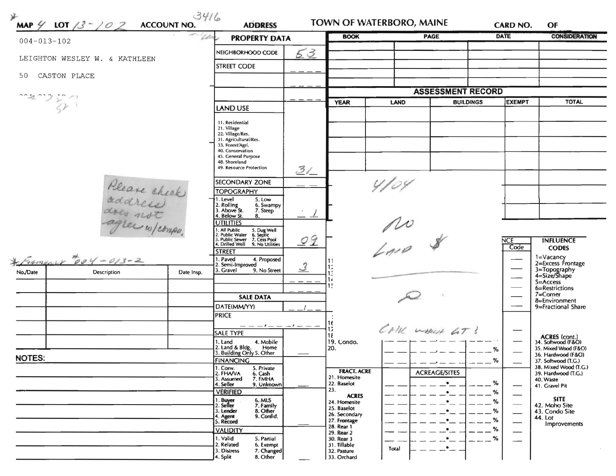| $004 - 013 - 102$                         |                               | <b>PROPERTY DATA</b>                            |                                                                                                                                                                                        | <b>BOOK</b>                   |                             | <b>PAGE</b>  | DATE                     | <b>CONSIDERATION</b>      |                                              |  |
|-------------------------------------------|-------------------------------|-------------------------------------------------|----------------------------------------------------------------------------------------------------------------------------------------------------------------------------------------|-------------------------------|-----------------------------|--------------|--------------------------|---------------------------|----------------------------------------------|--|
|                                           |                               |                                                 | NEIGHBORHOOD CODE                                                                                                                                                                      | 53                            |                             |              |                          |                           |                                              |  |
|                                           | LEIGHTON WESLEY W. & KATHLEEN |                                                 | STREET CODE                                                                                                                                                                            |                               |                             |              |                          |                           |                                              |  |
| 50                                        | CASTON PLACE                  |                                                 |                                                                                                                                                                                        |                               |                             |              |                          |                           |                                              |  |
|                                           |                               |                                                 |                                                                                                                                                                                        |                               |                             |              | <b>ASSESSMENT RECORD</b> |                           |                                              |  |
| $\frac{1}{3}$                             |                               |                                                 |                                                                                                                                                                                        |                               | <b>YEAR</b><br><b>LAND</b>  |              | <b>BUILDINGS</b>         | <b>EXEMPT</b>             | <b>TOTAL</b>                                 |  |
|                                           |                               |                                                 | LAND USE                                                                                                                                                                               |                               |                             |              |                          |                           |                                              |  |
|                                           |                               |                                                 | 11. Residential<br>21. Village<br>22. Village/Res.<br>31. Agricultural/Res.<br>33. Forest/Agri.<br>40. Conservation<br>45. General Purpose<br>48. Shoreland<br>49. Resource Protection |                               |                             |              |                          |                           |                                              |  |
|                                           |                               |                                                 |                                                                                                                                                                                        | 31                            |                             |              |                          |                           |                                              |  |
|                                           |                               |                                                 | <b>SECONDARY ZONE</b>                                                                                                                                                                  |                               |                             | 4/04         |                          |                           |                                              |  |
| Please check<br>address<br>agree w/compa. |                               |                                                 | <b>TOPOGRAPHY</b><br>5. Low<br>1. Level<br>6. Swampy<br>2. Rolling<br>3. Above St.<br>7. Steep<br>4. Below St.<br>8.<br><b>UTILITIES</b>                                               |                               |                             | no<br>Imp \$ |                          |                           |                                              |  |
|                                           |                               |                                                 | 1. All Public 5. Dug Well<br>2. Public Water 6. Septic<br>3. Public Sewer 7. Cess Pool<br>4. Drilled Well 9. No Utilities                                                              | 09                            |                             |              |                          | <b>NCE</b><br>Code        | <b>INFLUENCE</b>                             |  |
|                                           |                               |                                                 | <b>STREET</b>                                                                                                                                                                          |                               |                             |              |                          |                           | <b>CODES</b><br>1=Vacancy                    |  |
|                                           | $500$ Manuel 204-013-2        |                                                 | 1. Paved<br>4. Proposed<br>2. Semi-Improved<br>3. Gravel<br>9. No Street                                                                                                               | $\mathcal{S}$                 | 11                          |              |                          |                           | 2=Excess Frontage                            |  |
| No./Date                                  | Description                   | Date Insp.                                      |                                                                                                                                                                                        |                               | 13<br>14                    |              |                          |                           | 3=Topography<br>4=Size/Shape<br>$5 =$ Access |  |
|                                           |                               |                                                 |                                                                                                                                                                                        |                               | 15                          |              |                          |                           | 6=Restrictions                               |  |
|                                           |                               |                                                 | <b>SALE DATA</b>                                                                                                                                                                       |                               |                             |              |                          |                           | $7 =$ Corner<br>8=Environment                |  |
|                                           |                               |                                                 | DATE(MM/YY)<br><b>PRICE</b>                                                                                                                                                            |                               |                             |              |                          |                           | 9=Fractional Share                           |  |
|                                           |                               |                                                 | $--- - - - - - - - -$                                                                                                                                                                  |                               |                             |              |                          |                           |                                              |  |
|                                           |                               |                                                 | <b>SALE TYPE</b>                                                                                                                                                                       |                               | 18                          |              | CHILL WHICH 6T !         |                           | <b>ACRES</b> (cont.)                         |  |
|                                           |                               |                                                 | 4. Mobile<br>1. Land<br>2. Land & Bldg.<br>Home                                                                                                                                        |                               | 19. Condo.<br>20.           |              |                          | $\%$                      | 34. Softwood (F&O)<br>35. Mixed Wood (F&O)   |  |
| <b>NOTES:</b>                             |                               |                                                 | 3. Building Only 5. Other<br><b>FINANCING</b>                                                                                                                                          |                               |                             |              |                          | $\%$                      | 36. Hardwood (F&O)<br>37. Softwood (T.G.)    |  |
|                                           |                               |                                                 | 1. Conv.<br>5. Private<br>2. FHAVA<br>6. Cash                                                                                                                                          |                               | <b>FRACT. ACRE</b>          |              | <b>ACREAGE/SITES</b>     |                           | 38. Mixed Wood (T.G.)<br>39. Hardwood (T.G.) |  |
|                                           |                               |                                                 | 7. FMHA<br>3. Assumed<br>9. Unknown<br>4. Seller                                                                                                                                       |                               | 21. Homesite<br>22. Baselot |              |                          | %                         | 40. Waste<br>41. Gravel Pit                  |  |
|                                           |                               | <b>VERIFIED</b>                                 |                                                                                                                                                                                        | 23.<br><b>ACRES</b>           |                             |              | %                        | <b>SITE</b>               |                                              |  |
|                                           |                               |                                                 | 1. Buyer<br>2. Seller<br>6. MLS<br>7. Family<br>3. Lender                                                                                                                              |                               | 24. Homesite<br>25. Baselot |              |                          | %<br>%                    | 42. Moho Site                                |  |
|                                           |                               | 8. Other<br>9. Confid.<br>4. Agent<br>5. Record |                                                                                                                                                                                        | 26. Secondary<br>27. Frontage |                             |              | %                        | 43. Condo Site<br>44. Lot |                                              |  |
|                                           |                               |                                                 | <b>VALIDITY</b>                                                                                                                                                                        |                               | 28. Rear 1<br>29. Rear 2    |              |                          | %                         | Improvements                                 |  |
|                                           |                               |                                                 | 1. Valid<br>5. Partial<br>2. Related<br>6. Exempt                                                                                                                                      |                               | 30. Rear 3<br>31. Tillable  |              |                          | %                         |                                              |  |
|                                           |                               |                                                 | 7. Changed<br>3. Distress                                                                                                                                                              |                               | 32. Pasture                 | Total        |                          |                           |                                              |  |